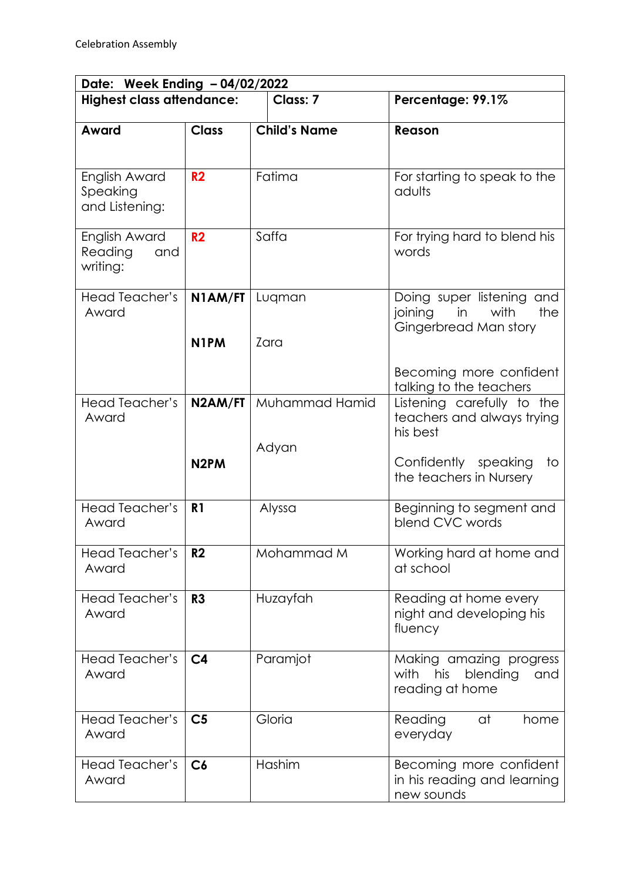| Date: Week Ending - 04/02/2022              |                              |                         |                                                                                    |  |  |  |
|---------------------------------------------|------------------------------|-------------------------|------------------------------------------------------------------------------------|--|--|--|
| <b>Highest class attendance:</b>            |                              | Class: 7                | Percentage: 99.1%                                                                  |  |  |  |
| Award                                       | <b>Class</b>                 | <b>Child's Name</b>     | Reason                                                                             |  |  |  |
| English Award<br>Speaking<br>and Listening: | R <sub>2</sub>               | Fatima                  | For starting to speak to the<br>adults                                             |  |  |  |
| English Award<br>Reading<br>and<br>writing: | R <sub>2</sub>               | Saffa                   | For trying hard to blend his<br>words                                              |  |  |  |
| Head Teacher's<br>Award                     | N1AM/FT<br>N <sub>1</sub> PM | Lugman<br>Zara          | Doing super listening and<br>with<br>joining<br>in<br>the<br>Gingerbread Man story |  |  |  |
|                                             |                              |                         | Becoming more confident<br>talking to the teachers                                 |  |  |  |
| Head Teacher's<br>Award                     | N2AM/FT                      | Muhammad Hamid<br>Adyan | Listening carefully to the<br>teachers and always trying<br>his best               |  |  |  |
|                                             | N <sub>2</sub> PM            |                         | Confidently speaking<br>to<br>the teachers in Nursery                              |  |  |  |
| Head Teacher's<br>Award                     | R <sub>1</sub>               | Alyssa                  | Beginning to segment and<br>blend CVC words                                        |  |  |  |
| Head Teacher's<br>Award                     | R <sub>2</sub>               | Mohammad M              | Working hard at home and<br>at school                                              |  |  |  |
| Head Teacher's<br>Award                     | R <sub>3</sub>               | Huzayfah                | Reading at home every<br>night and developing his<br>fluency                       |  |  |  |
| Head Teacher's<br>Award                     | C <sub>4</sub>               | Paramjot                | Making amazing progress<br>with<br>his<br>blending<br>and<br>reading at home       |  |  |  |
| Head Teacher's<br>Award                     | C <sub>5</sub>               | Gloria                  | Reading<br>at<br>home<br>everyday                                                  |  |  |  |
| Head Teacher's<br>Award                     | C6                           | Hashim                  | Becoming more confident<br>in his reading and learning<br>new sounds               |  |  |  |